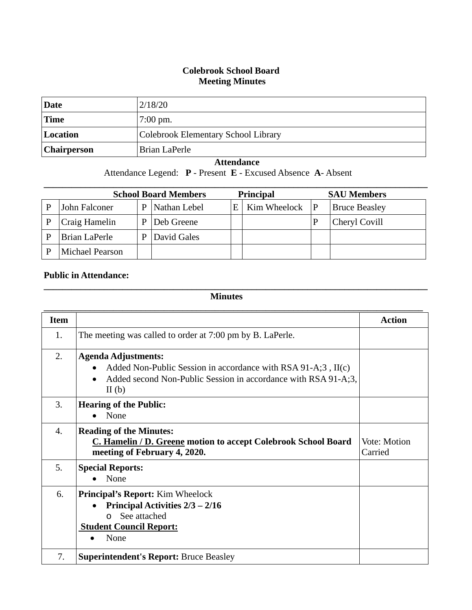## **Colebrook School Board Meeting Minutes**

| Date               | 2/18/20                             |
|--------------------|-------------------------------------|
| <b>Time</b>        | $7:00 \text{ pm}$ .                 |
| Location           | Colebrook Elementary School Library |
| <b>Chairperson</b> | Brian LaPerle                       |

## **Attendance**

Attendance Legend: **P** - Present **E** - Excused Absence **A**- Absent

| <b>School Board Members</b><br><b>Principal</b> |                 |   |              |   | <b>SAU Members</b> |   |                      |
|-------------------------------------------------|-----------------|---|--------------|---|--------------------|---|----------------------|
|                                                 | John Falconer   | D | Nathan Lebel | E | Kim Wheelock       | P | <b>Bruce Beasley</b> |
|                                                 | Craig Hamelin   |   | Deb Greene   |   |                    |   | Cheryl Covill        |
|                                                 | Brian LaPerle   |   | David Gales  |   |                    |   |                      |
|                                                 | Michael Pearson |   |              |   |                    |   |                      |

## **Public in Attendance:**

## **Minutes**

**\_\_\_\_\_\_\_\_\_\_\_\_\_\_\_\_\_\_\_\_\_\_\_\_\_\_\_\_\_\_\_\_\_\_\_\_\_\_\_\_\_\_\_\_\_\_\_\_\_\_\_\_\_\_\_\_\_\_\_\_\_\_\_\_\_\_\_\_\_\_\_\_\_\_\_\_\_\_\_\_\_\_\_**

| <b>Item</b>      |                                                                                                                                                                             | <b>Action</b>           |
|------------------|-----------------------------------------------------------------------------------------------------------------------------------------------------------------------------|-------------------------|
| 1.               | The meeting was called to order at 7:00 pm by B. LaPerle.                                                                                                                   |                         |
| 2.               | <b>Agenda Adjustments:</b><br>Added Non-Public Session in accordance with $RSA 91-A;3$ , $II(c)$<br>Added second Non-Public Session in accordance with RSA 91-A;3,<br>II(b) |                         |
| 3.               | <b>Hearing of the Public:</b><br>None                                                                                                                                       |                         |
| $\overline{4}$ . | <b>Reading of the Minutes:</b><br>C. Hamelin / D. Greene motion to accept Colebrook School Board<br>meeting of February 4, 2020.                                            | Vote: Motion<br>Carried |
| 5.               | <b>Special Reports:</b><br>None                                                                                                                                             |                         |
| 6.               | <b>Principal's Report:</b> Kim Wheelock<br>Principal Activities $2/3 - 2/16$<br>See attached<br>$\cap$<br><b>Student Council Report:</b><br>None                            |                         |
| 7.               | <b>Superintendent's Report: Bruce Beasley</b>                                                                                                                               |                         |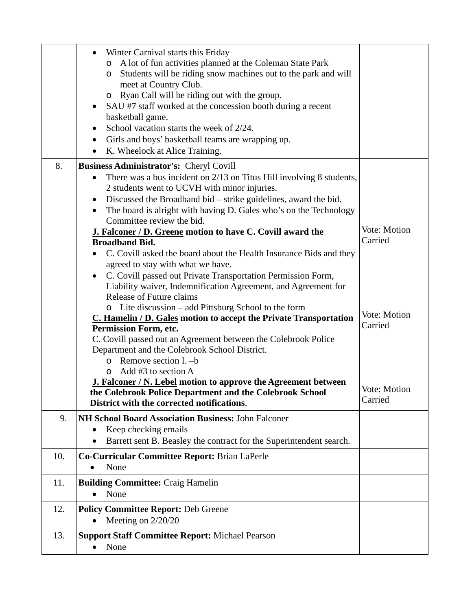|     | Winter Carnival starts this Friday<br>A lot of fun activities planned at the Coleman State Park<br>$\circ$<br>Students will be riding snow machines out to the park and will<br>O<br>meet at Country Club.<br>o Ryan Call will be riding out with the group.<br>SAU #7 staff worked at the concession booth during a recent<br>basketball game.<br>School vacation starts the week of 2/24.<br>Girls and boys' basketball teams are wrapping up.<br>٠<br>K. Wheelock at Alice Training.<br>$\bullet$                                                                                                                                                                                                      |                                                    |
|-----|-----------------------------------------------------------------------------------------------------------------------------------------------------------------------------------------------------------------------------------------------------------------------------------------------------------------------------------------------------------------------------------------------------------------------------------------------------------------------------------------------------------------------------------------------------------------------------------------------------------------------------------------------------------------------------------------------------------|----------------------------------------------------|
| 8.  | Business Administrator's: Cheryl Covill<br>There was a bus incident on 2/13 on Titus Hill involving 8 students,<br>2 students went to UCVH with minor injuries.<br>Discussed the Broadband bid – strike guidelines, award the bid.<br>The board is alright with having D. Gales who's on the Technology<br>$\bullet$                                                                                                                                                                                                                                                                                                                                                                                      |                                                    |
|     | Committee review the bid.<br>J. Falconer / D. Greene motion to have C. Covill award the<br><b>Broadband Bid.</b><br>C. Covill asked the board about the Health Insurance Bids and they<br>agreed to stay with what we have.<br>C. Covill passed out Private Transportation Permission Form,<br>Liability waiver, Indemnification Agreement, and Agreement for<br><b>Release of Future claims</b><br>o Lite discussion – add Pittsburg School to the form<br>C. Hamelin / D. Gales motion to accept the Private Transportation<br>Permission Form, etc.<br>C. Covill passed out an Agreement between the Colebrook Police<br>Department and the Colebrook School District.<br>$\circ$ Remove section I. -b | Vote: Motion<br>Carried<br>Vote: Motion<br>Carried |
|     | Add #3 to section A<br><b>J. Falconer / N. Lebel motion to approve the Agreement between</b><br>the Colebrook Police Department and the Colebrook School<br>District with the corrected notifications.                                                                                                                                                                                                                                                                                                                                                                                                                                                                                                    | Vote: Motion<br>Carried                            |
| 9.  | NH School Board Association Business: John Falconer<br>Keep checking emails<br>$\bullet$<br>Barrett sent B. Beasley the contract for the Superintendent search.                                                                                                                                                                                                                                                                                                                                                                                                                                                                                                                                           |                                                    |
| 10. | Co-Curricular Committee Report: Brian LaPerle<br>None                                                                                                                                                                                                                                                                                                                                                                                                                                                                                                                                                                                                                                                     |                                                    |
| 11. | <b>Building Committee: Craig Hamelin</b><br>None                                                                                                                                                                                                                                                                                                                                                                                                                                                                                                                                                                                                                                                          |                                                    |
| 12. | <b>Policy Committee Report: Deb Greene</b><br>Meeting on $2/20/20$                                                                                                                                                                                                                                                                                                                                                                                                                                                                                                                                                                                                                                        |                                                    |
| 13. | <b>Support Staff Committee Report: Michael Pearson</b><br>None                                                                                                                                                                                                                                                                                                                                                                                                                                                                                                                                                                                                                                            |                                                    |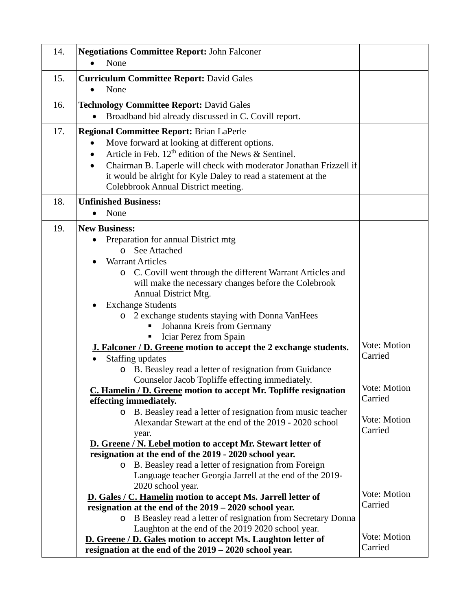| 14. | <b>Negotiations Committee Report: John Falconer</b><br>None                                                                                                                                                                                                                                                                                                                                                                                                                                                                                                                                                                                                                                                                                                                                                                                                                        |                                                                               |  |  |  |
|-----|------------------------------------------------------------------------------------------------------------------------------------------------------------------------------------------------------------------------------------------------------------------------------------------------------------------------------------------------------------------------------------------------------------------------------------------------------------------------------------------------------------------------------------------------------------------------------------------------------------------------------------------------------------------------------------------------------------------------------------------------------------------------------------------------------------------------------------------------------------------------------------|-------------------------------------------------------------------------------|--|--|--|
| 15. | <b>Curriculum Committee Report: David Gales</b><br>None                                                                                                                                                                                                                                                                                                                                                                                                                                                                                                                                                                                                                                                                                                                                                                                                                            |                                                                               |  |  |  |
| 16. | <b>Technology Committee Report: David Gales</b><br>Broadband bid already discussed in C. Covill report.                                                                                                                                                                                                                                                                                                                                                                                                                                                                                                                                                                                                                                                                                                                                                                            |                                                                               |  |  |  |
| 17. | Regional Committee Report: Brian LaPerle<br>Move forward at looking at different options.<br>$\bullet$<br>Article in Feb. $12th$ edition of the News & Sentinel.<br>Chairman B. Laperle will check with moderator Jonathan Frizzell if<br>$\bullet$<br>it would be alright for Kyle Daley to read a statement at the<br>Colebbrook Annual District meeting.                                                                                                                                                                                                                                                                                                                                                                                                                                                                                                                        |                                                                               |  |  |  |
| 18. | <b>Unfinished Business:</b>                                                                                                                                                                                                                                                                                                                                                                                                                                                                                                                                                                                                                                                                                                                                                                                                                                                        |                                                                               |  |  |  |
| 19. | None<br><b>New Business:</b><br>Preparation for annual District mtg<br>o See Attached<br><b>Warrant Articles</b><br>C. Covill went through the different Warrant Articles and<br>$\circ$<br>will make the necessary changes before the Colebrook<br><b>Annual District Mtg.</b><br><b>Exchange Students</b><br>٠<br>o 2 exchange students staying with Donna VanHees<br>Johanna Kreis from Germany<br>Iciar Perez from Spain<br><b>J. Falconer / D. Greene motion to accept the 2 exchange students.</b><br><b>Staffing updates</b><br>B. Beasley read a letter of resignation from Guidance<br>$\circ$<br>Counselor Jacob Topliffe effecting immediately.<br>C. Hamelin / D. Greene motion to accept Mr. Topliffe resignation<br>effecting immediately.<br>o B. Beasley read a letter of resignation from music teacher<br>Alexandar Stewart at the end of the 2019 - 2020 school | Vote: Motion<br>Carried<br>Vote: Motion<br>Carried<br>Vote: Motion<br>Carried |  |  |  |
|     | year.<br>D. Greene / N. Lebel motion to accept Mr. Stewart letter of                                                                                                                                                                                                                                                                                                                                                                                                                                                                                                                                                                                                                                                                                                                                                                                                               |                                                                               |  |  |  |
|     | resignation at the end of the 2019 - 2020 school year.                                                                                                                                                                                                                                                                                                                                                                                                                                                                                                                                                                                                                                                                                                                                                                                                                             |                                                                               |  |  |  |
|     | B. Beasley read a letter of resignation from Foreign<br>$\circ$<br>Language teacher Georgia Jarrell at the end of the 2019-<br>2020 school year.                                                                                                                                                                                                                                                                                                                                                                                                                                                                                                                                                                                                                                                                                                                                   |                                                                               |  |  |  |
|     | D. Gales / C. Hamelin motion to accept Ms. Jarrell letter of<br>resignation at the end of the 2019 - 2020 school year.                                                                                                                                                                                                                                                                                                                                                                                                                                                                                                                                                                                                                                                                                                                                                             | Vote: Motion<br>Carried                                                       |  |  |  |
|     | o B Beasley read a letter of resignation from Secretary Donna<br>Laughton at the end of the 2019 2020 school year.<br>D. Greene / D. Gales motion to accept Ms. Laughton letter of                                                                                                                                                                                                                                                                                                                                                                                                                                                                                                                                                                                                                                                                                                 | Vote: Motion                                                                  |  |  |  |
|     | resignation at the end of the 2019 – 2020 school year.                                                                                                                                                                                                                                                                                                                                                                                                                                                                                                                                                                                                                                                                                                                                                                                                                             | Carried                                                                       |  |  |  |